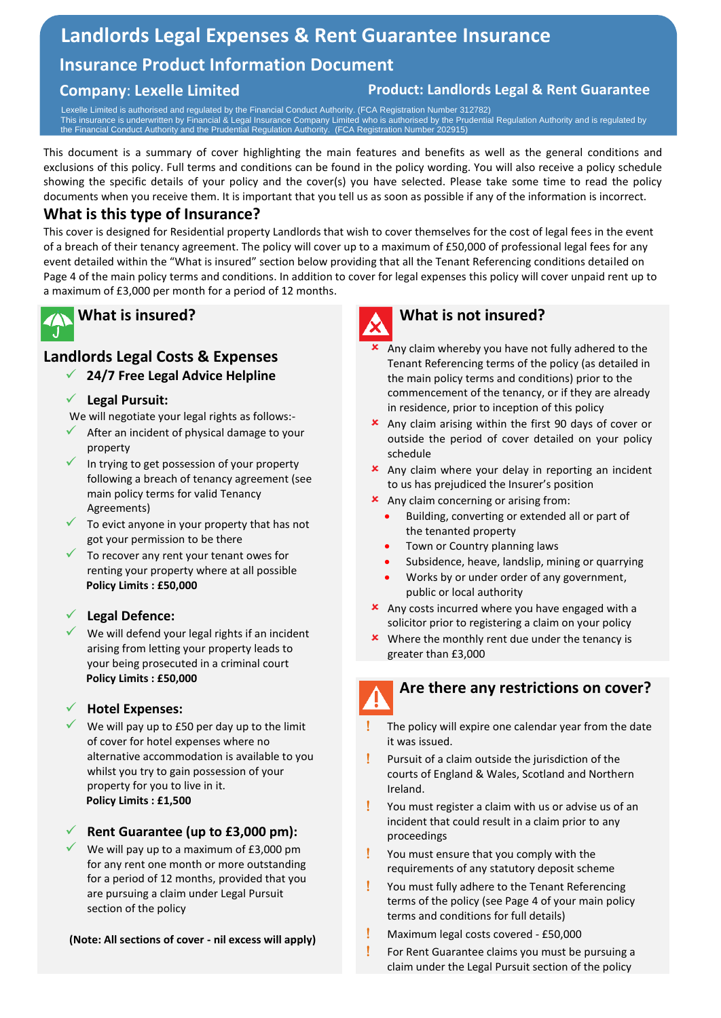# **Landlords Legal Expenses & Rent Guarantee Insurance**

## **Insurance Product Information Document**

#### **Company**: **Lexelle Limited Product: Landlords Legal & Rent Guarantee**

 Lexelle Limited is authorised and regulated by the Financial Conduct Authority. (FCA Registration Number 312782) This insurance is underwritten by Financial & Legal Insurance Company Limited who is authorised by the Prudential Regulation Authority and is regulated by the Financial Conduct Authority and the Prudential Regulation Authority. (FCA Registration Number 202915)

This document is a summary of cover highlighting the main features and benefits as well as the general conditions and exclusions of this policy. Full terms and conditions can be found in the policy wording. You will also receive a policy schedule showing the specific details of your policy and the cover(s) you have selected. Please take some time to read the policy documents when you receive them. It is important that you tell us as soon as possible if any of the information is incorrect.

#### **What is this type of Insurance?**

This cover is designed for Residential property Landlords that wish to cover themselves for the cost of legal fees in the event of a breach of their tenancy agreement. The policy will cover up to a maximum of £50,000 of professional legal fees for any event detailed within the "What is insured" section below providing that all the Tenant Referencing conditions detailed on Page 4 of the main policy terms and conditions. In addition to cover for legal expenses this policy will cover unpaid rent up to a maximum of £3,000 per month for a period of 12 months.

# **What is insured?**

### **Landlords Legal Costs & Expenses**

#### ✓ **24/7 Free Legal Advice Helpline**

#### ✓ **Legal Pursuit:**

We will negotiate your legal rights as follows:-

- After an incident of physical damage to your property
- In trying to get possession of your property following a breach of tenancy agreement (see main policy terms for valid Tenancy Agreements)
- $\checkmark$  To evict anyone in your property that has not got your permission to be there
- $\checkmark$  To recover any rent your tenant owes for renting your property where at all possible **Policy Limits : £50,000**

#### Legal Defence:

 $\checkmark$  We will defend your legal rights if an incident arising from letting your property leads to your being prosecuted in a criminal court **Policy Limits : £50,000**

#### ✓ **Hotel Expenses:**

We will pay up to £50 per day up to the limit of cover for hotel expenses where no alternative accommodation is available to you whilst you try to gain possession of your property for you to live in it. **Policy Limits : £1,500**

#### ✓ **Rent Guarantee (up to £3,000 pm):**

We will pay up to a maximum of £3,000 pm for any rent one month or more outstanding for a period of 12 months, provided that you are pursuing a claim under Legal Pursuit section of the policy

#### **(Note: All sections of cover - nil excess will apply)**



#### **What is not insured?**

- $\boldsymbol{\times}$  Any claim whereby you have not fully adhered to the Tenant Referencing terms of the policy (as detailed in the main policy terms and conditions) prior to the commencement of the tenancy, or if they are already in residence, prior to inception of this policy
- Any claim arising within the first 90 days of cover or outside the period of cover detailed on your policy schedule
- Any claim where your delay in reporting an incident to us has prejudiced the Insurer's position
- $\star$  Any claim concerning or arising from:
	- Building, converting or extended all or part of the tenanted property
	- Town or Country planning laws
	- Subsidence, heave, landslip, mining or quarrying
	- Works by or under order of any government, public or local authority
- **x** Any costs incurred where you have engaged with a solicitor prior to registering a claim on your policy
- **\*** Where the monthly rent due under the tenancy is greater than £3,000

 $\overline{\phantom{a}}$ 

#### **Are there any restrictions on cover?**

- The policy will expire one calendar year from the date it was issued.
- Pursuit of a claim outside the jurisdiction of the courts of England & Wales, Scotland and Northern Ireland.
- You must register a claim with us or advise us of an incident that could result in a claim prior to any proceedings
- You must ensure that you comply with the requirements of any statutory deposit scheme
- You must fully adhere to the Tenant Referencing terms of the policy (see Page 4 of your main policy terms and conditions for full details)
- Maximum legal costs covered £50,000
- **For Rent Guarantee claims you must be pursuing a** claim under the Legal Pursuit section of the policy